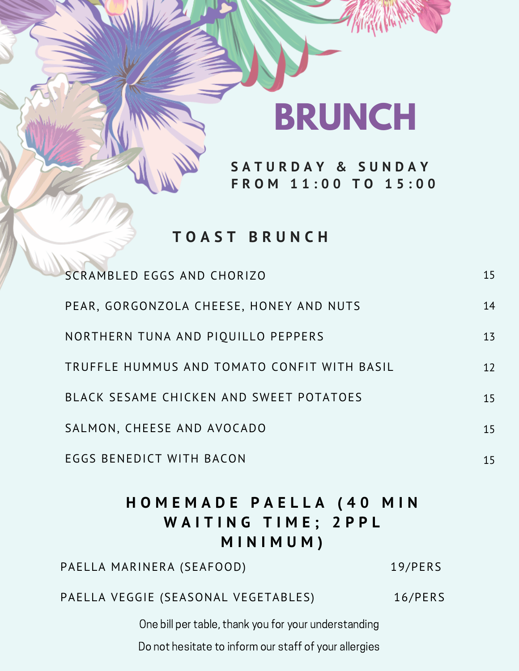### **BRUNCH**

**S A T U R D A Y & S U N D A Y F R O M 1 1 : 0 0 T O 1 5 : 0 0**

### **T O A S T B R U N C H**

| HOMEMADE PAELLA (40 MIN<br><b>WAITING TIME: 2PPL</b><br>MINIMUM) |    |
|------------------------------------------------------------------|----|
| <b>EGGS BENEDICT WITH BACON</b>                                  | 15 |
| SALMON, CHEESE AND AVOCADO                                       | 15 |
| BLACK SESAME CHICKEN AND SWEET POTATOES                          | 15 |
| TRUFFLE HUMMUS AND TOMATO CONFIT WITH BASIL                      | 12 |
| NORTHERN TUNA AND PIQUILLO PEPPERS                               | 13 |
| PEAR, GORGONZOLA CHEESE, HONEY AND NUTS                          | 14 |
| SCRAMBLED EGGS AND CHORIZO                                       | 15 |

PAELLA VEGGIE (SEASONAL VEGETABLES) 16/PERS

PAELLA MARINERA (SEAFOOD) 19/PERS

One bill per table, thank you for your understanding

Do not hesitate to inform our staff of your allergies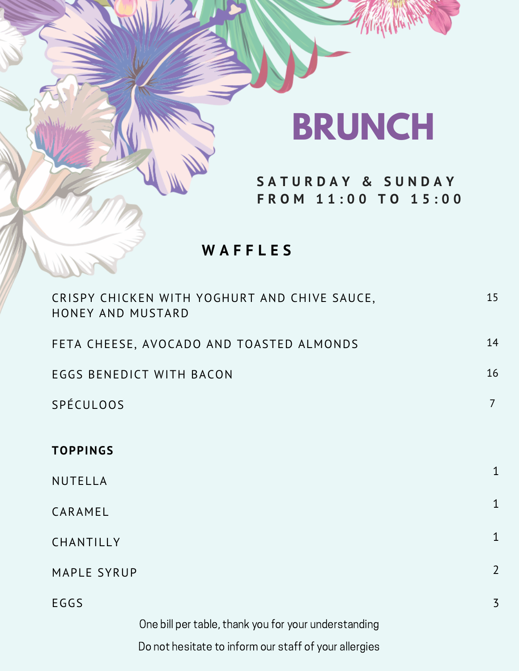## **BRUNCH**

**S A T U R D A Y & S U N D A Y F R O M 1 1 : 0 0 T O 1 5 : 0 0**

**W A F F L E S**

| CRISPY CHICKEN WITH YOGHURT AND CHIVE SAUCE,<br>HONEY AND MUSTARD | 15             |
|-------------------------------------------------------------------|----------------|
| FETA CHEESE, AVOCADO AND TOASTED ALMONDS                          | 14             |
| <b>EGGS BENEDICT WITH BACON</b>                                   | 16             |
| SPÉCULOOS                                                         | $\overline{7}$ |
| <b>TOPPINGS</b>                                                   |                |
|                                                                   | $\mathbf{1}$   |
| NUTELLA                                                           |                |
| CARAMEL                                                           | $\mathbf{1}$   |
| CHANTILLY                                                         | $\mathbf{1}$   |
| MAPLE SYRUP                                                       | $\overline{2}$ |
| EGGS                                                              | $\overline{3}$ |
| One bill per table, thank you for your understanding              |                |
| Do not hesitate to inform our staff of your allergies             |                |